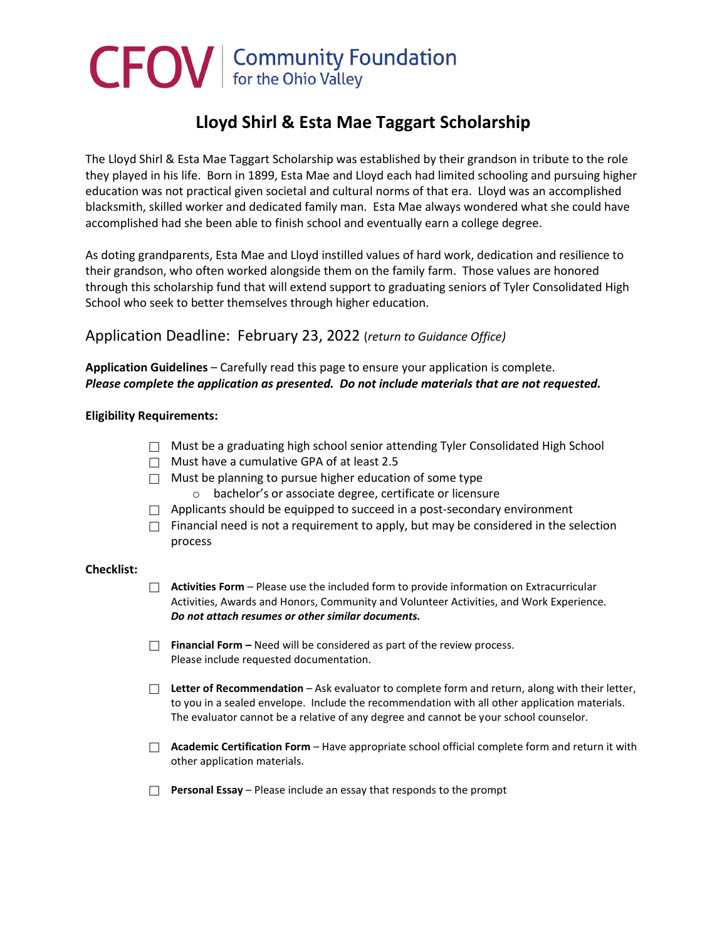# CFOV | Community Foundation

#### **Lloyd Shirl & Esta Mae Taggart Scholarship**

The Lloyd Shirl & Esta Mae Taggart Scholarship was established by their grandson in tribute to the role they played in his life. Born in 1899, Esta Mae and Lloyd each had limited schooling and pursuing higher education was not practical given societal and cultural norms of that era. Lloyd was an accomplished blacksmith, skilled worker and dedicated family man. Esta Mae always wondered what she could have accomplished had she been able to finish school and eventually earn a college degree.

As doting grandparents, Esta Mae and Lloyd instilled values of hard work, dedication and resilience to their grandson, who often worked alongside them on the family farm. Those values are honored through this scholarship fund that will extend support to graduating seniors of Tyler Consolidated High School who seek to better themselves through higher education.

#### Application Deadline: February 23, 2022 (*return to Guidance Office)*

#### **Application Guidelines** – Carefully read this page to ensure your application is complete. *Please complete the application as presented. Do not include materials that are not requested.*

#### **Eligibility Requirements:**

- $\Box$  Must be a graduating high school senior attending Tyler Consolidated High School
- $\Box$  Must have a cumulative GPA of at least 2.5
- $\Box$  Must be planning to pursue higher education of some type
	- o bachelor's or associate degree, certificate or licensure
- $\Box$  Applicants should be equipped to succeed in a post-secondary environment
- $\Box$  Financial need is not a requirement to apply, but may be considered in the selection process

#### **Checklist:**

- **Activities Form** Please use the included form to provide information on Extracurricular Activities, Awards and Honors, Community and Volunteer Activities, and Work Experience. *Do not attach resumes or other similar documents.*
- **Financial Form –** Need will be considered as part of the review process. Please include requested documentation.
- □ Letter of Recommendation Ask evaluator to complete form and return, along with their letter, to you in a sealed envelope. Include the recommendation with all other application materials. The evaluator cannot be a relative of any degree and cannot be your school counselor.
- **Academic Certification Form** Have appropriate school official complete form and return it with other application materials.
- **Personal Essay** Please include an essay that responds to the prompt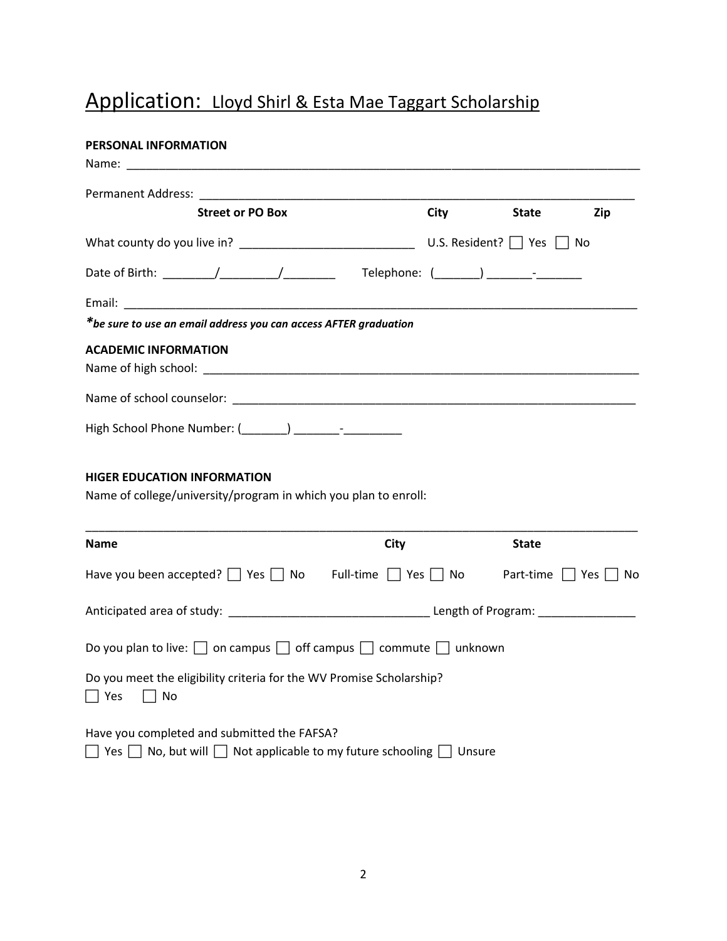#### Application: Lloyd Shirl & Esta Mae Taggart Scholarship

# **PERSONAL INFORMATION** Name: \_\_\_\_\_\_\_\_\_\_\_\_\_\_\_\_\_\_\_\_\_\_\_\_\_\_\_\_\_\_\_\_\_\_\_\_\_\_\_\_\_\_\_\_\_\_\_\_\_\_\_\_\_\_\_\_\_\_\_\_\_\_\_\_\_\_\_\_\_\_\_\_\_\_\_\_\_\_\_ Permanent Address: **Street or PO Box City City State Zip** What county do you live in?  $\Box$ Date of Birth: \_\_\_\_\_\_\_\_/\_\_\_\_\_\_\_\_\_/\_\_\_\_\_\_\_\_ Telephone: (\_\_\_\_\_\_\_) \_\_\_\_\_\_\_-\_\_\_\_\_\_\_ Email: \_\_\_\_\_\_\_\_\_\_\_\_\_\_\_\_\_\_\_\_\_\_\_\_\_\_\_\_\_\_\_\_\_\_\_\_\_\_\_\_\_\_\_\_\_\_\_\_\_\_\_\_\_\_\_\_\_\_\_\_\_\_\_\_\_\_\_\_\_\_\_\_\_\_\_\_\_\_\_ *\*be sure to use an email address you can access AFTER graduation* **ACADEMIC INFORMATION** Name of high school: \_\_\_\_\_\_\_\_\_\_\_\_\_\_\_\_\_\_\_\_\_\_\_\_\_\_\_\_\_\_\_\_\_\_\_\_\_\_\_\_\_\_\_\_\_\_\_\_\_\_\_\_\_\_\_\_\_\_\_\_\_\_\_\_\_\_\_ Name of school counselor: \_\_\_\_\_\_\_\_\_\_\_\_\_\_\_\_\_\_\_\_\_\_\_\_\_\_\_\_\_\_\_\_\_\_\_\_\_\_\_\_\_\_\_\_\_\_\_\_\_\_\_\_\_\_\_\_\_\_\_\_\_\_ High School Phone Number: (\_\_\_\_\_\_\_) \_\_\_\_\_\_\_-\_\_\_\_\_\_\_\_\_ **HIGER EDUCATION INFORMATION** Name of college/university/program in which you plan to enroll: \_\_\_\_\_\_\_\_\_\_\_\_\_\_\_\_\_\_\_\_\_\_\_\_\_\_\_\_\_\_\_\_\_\_\_\_\_\_\_\_\_\_\_\_\_\_\_\_\_\_\_\_\_\_\_\_\_\_\_\_\_\_\_\_\_\_\_\_\_\_\_\_\_\_\_\_\_\_\_\_\_\_\_\_\_ **Name City State** Have you been accepted?  $\Box$  Yes  $\Box$  No Full-time  $\Box$  Yes  $\Box$  No Part-time  $\Box$  Yes  $\Box$  No Anticipated area of study: example and the study of Program: Length of Program: Do you plan to live:  $\Box$  on campus  $\Box$  off campus  $\Box$  commute  $\Box$  unknown Do you meet the eligibility criteria for the WV Promise Scholarship?  $\Box$  Yes  $\Box$  No

Have you completed and submitted the FAFSA?

 $\Box$  Yes  $\Box$  No, but will  $\Box$  Not applicable to my future schooling  $\Box$  Unsure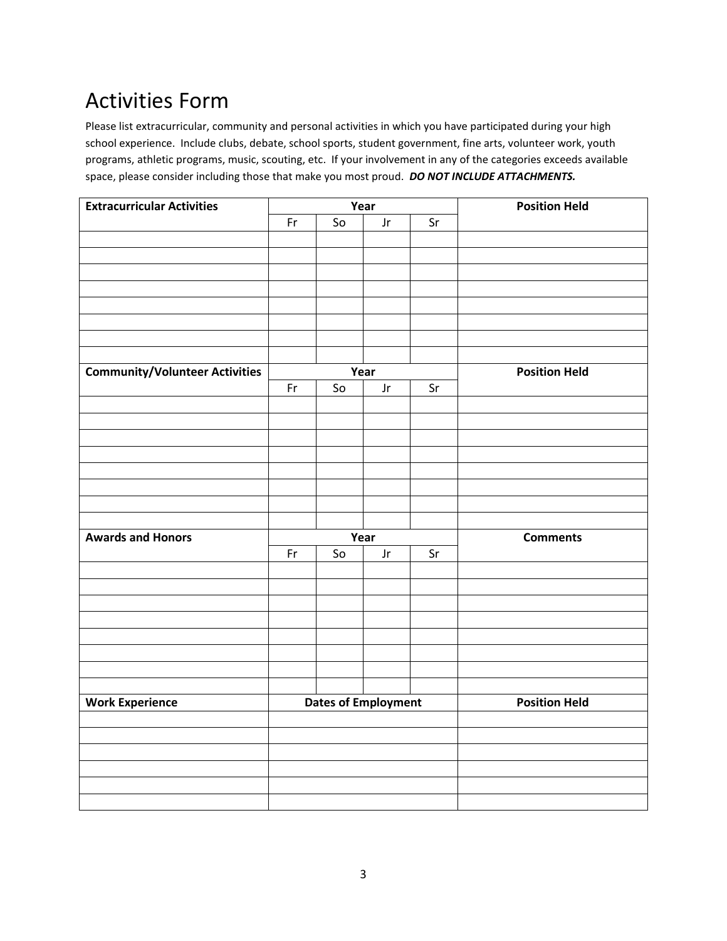# Activities Form

Please list extracurricular, community and personal activities in which you have participated during your high school experience. Include clubs, debate, school sports, student government, fine arts, volunteer work, youth programs, athletic programs, music, scouting, etc. If your involvement in any of the categories exceeds available space, please consider including those that make you most proud. *DO NOT INCLUDE ATTACHMENTS.*

| <b>Extracurricular Activities</b>     | $\overline{Year}$          |    |      |    | <b>Position Held</b> |  |
|---------------------------------------|----------------------------|----|------|----|----------------------|--|
|                                       | Fr                         | So | Jr   | Sr |                      |  |
|                                       |                            |    |      |    |                      |  |
|                                       |                            |    |      |    |                      |  |
|                                       |                            |    |      |    |                      |  |
|                                       |                            |    |      |    |                      |  |
|                                       |                            |    |      |    |                      |  |
|                                       |                            |    |      |    |                      |  |
|                                       |                            |    |      |    |                      |  |
|                                       |                            |    |      |    |                      |  |
| <b>Community/Volunteer Activities</b> |                            |    | Year |    | <b>Position Held</b> |  |
|                                       | Fr                         | So | Jr   | Sr |                      |  |
|                                       |                            |    |      |    |                      |  |
|                                       |                            |    |      |    |                      |  |
|                                       |                            |    |      |    |                      |  |
|                                       |                            |    |      |    |                      |  |
|                                       |                            |    |      |    |                      |  |
|                                       |                            |    |      |    |                      |  |
|                                       |                            |    |      |    |                      |  |
|                                       |                            |    |      |    |                      |  |
| <b>Awards and Honors</b>              | Year                       |    |      |    | <b>Comments</b>      |  |
|                                       | Fr                         | So | Jr   | Sr |                      |  |
|                                       |                            |    |      |    |                      |  |
|                                       |                            |    |      |    |                      |  |
|                                       |                            |    |      |    |                      |  |
|                                       |                            |    |      |    |                      |  |
|                                       |                            |    |      |    |                      |  |
|                                       |                            |    |      |    |                      |  |
|                                       |                            |    |      |    |                      |  |
|                                       |                            |    |      |    |                      |  |
| <b>Work Experience</b>                | <b>Dates of Employment</b> |    |      |    | <b>Position Held</b> |  |
|                                       |                            |    |      |    |                      |  |
|                                       |                            |    |      |    |                      |  |
|                                       |                            |    |      |    |                      |  |
|                                       |                            |    |      |    |                      |  |
|                                       |                            |    |      |    |                      |  |
|                                       |                            |    |      |    |                      |  |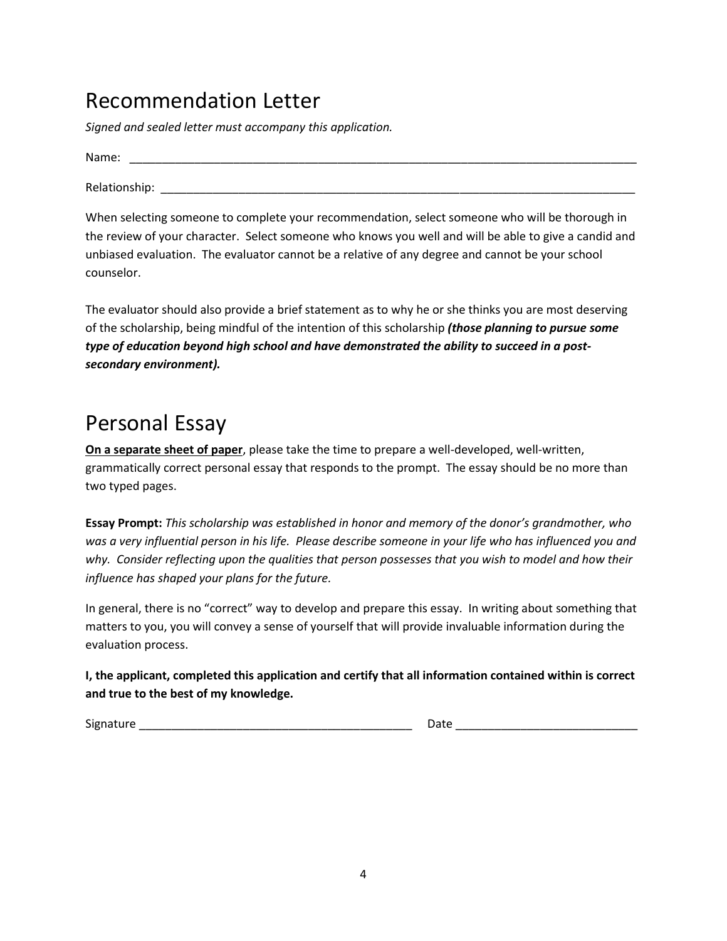### Recommendation Letter

*Signed and sealed letter must accompany this application.*

Name: Relationship:  $\Box$ 

When selecting someone to complete your recommendation, select someone who will be thorough in the review of your character. Select someone who knows you well and will be able to give a candid and unbiased evaluation. The evaluator cannot be a relative of any degree and cannot be your school counselor.

The evaluator should also provide a brief statement as to why he or she thinks you are most deserving of the scholarship, being mindful of the intention of this scholarship *(those planning to pursue some type of education beyond high school and have demonstrated the ability to succeed in a postsecondary environment).*

## Personal Essay

**On a separate sheet of paper**, please take the time to prepare a well-developed, well-written, grammatically correct personal essay that responds to the prompt. The essay should be no more than two typed pages.

**Essay Prompt:** *This scholarship was established in honor and memory of the donor's grandmother, who was a very influential person in his life. Please describe someone in your life who has influenced you and why. Consider reflecting upon the qualities that person possesses that you wish to model and how their influence has shaped your plans for the future.*

In general, there is no "correct" way to develop and prepare this essay. In writing about something that matters to you, you will convey a sense of yourself that will provide invaluable information during the evaluation process.

**I, the applicant, completed this application and certify that all information contained within is correct and true to the best of my knowledge.**

Signature \_\_\_\_\_\_\_\_\_\_\_\_\_\_\_\_\_\_\_\_\_\_\_\_\_\_\_\_\_\_\_\_\_\_\_\_\_\_\_\_\_\_ Date \_\_\_\_\_\_\_\_\_\_\_\_\_\_\_\_\_\_\_\_\_\_\_\_\_\_\_\_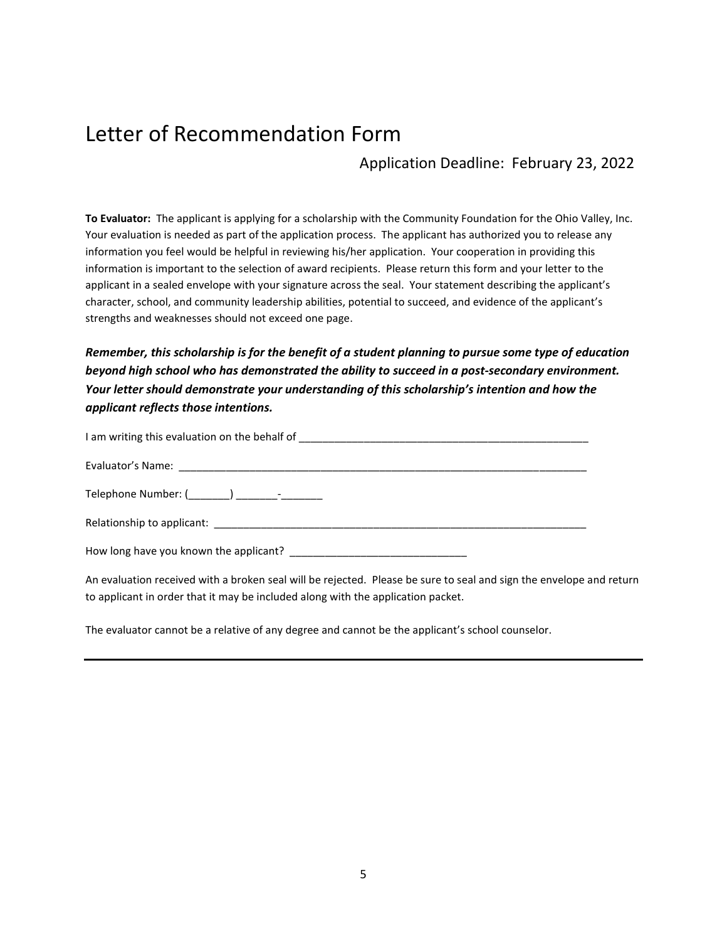## Letter of Recommendation Form

Application Deadline: February 23, 2022

**To Evaluator:** The applicant is applying for a scholarship with the Community Foundation for the Ohio Valley, Inc. Your evaluation is needed as part of the application process. The applicant has authorized you to release any information you feel would be helpful in reviewing his/her application. Your cooperation in providing this information is important to the selection of award recipients. Please return this form and your letter to the applicant in a sealed envelope with your signature across the seal. Your statement describing the applicant's character, school, and community leadership abilities, potential to succeed, and evidence of the applicant's strengths and weaknesses should not exceed one page.

*Remember, this scholarship is for the benefit of a student planning to pursue some type of education beyond high school who has demonstrated the ability to succeed in a post-secondary environment. Your letter should demonstrate your understanding of this scholarship's intention and how the applicant reflects those intentions.*

| How long have you known the applicant? |
|----------------------------------------|

An evaluation received with a broken seal will be rejected. Please be sure to seal and sign the envelope and return to applicant in order that it may be included along with the application packet.

The evaluator cannot be a relative of any degree and cannot be the applicant's school counselor.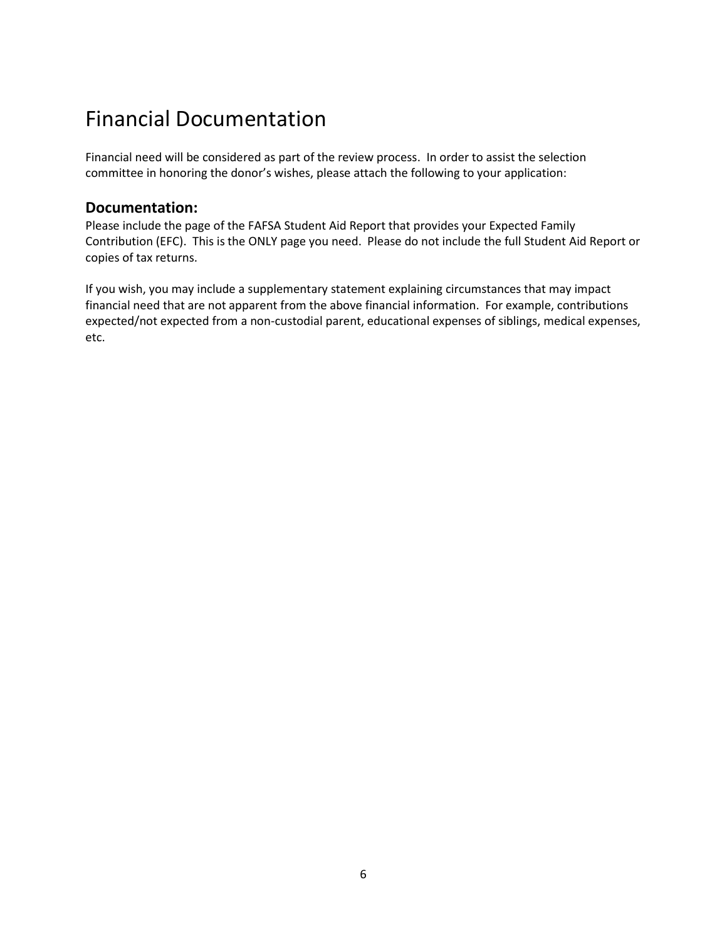## Financial Documentation

Financial need will be considered as part of the review process. In order to assist the selection committee in honoring the donor's wishes, please attach the following to your application:

#### **Documentation:**

Please include the page of the FAFSA Student Aid Report that provides your Expected Family Contribution (EFC). This is the ONLY page you need. Please do not include the full Student Aid Report or copies of tax returns.

If you wish, you may include a supplementary statement explaining circumstances that may impact financial need that are not apparent from the above financial information. For example, contributions expected/not expected from a non-custodial parent, educational expenses of siblings, medical expenses, etc.